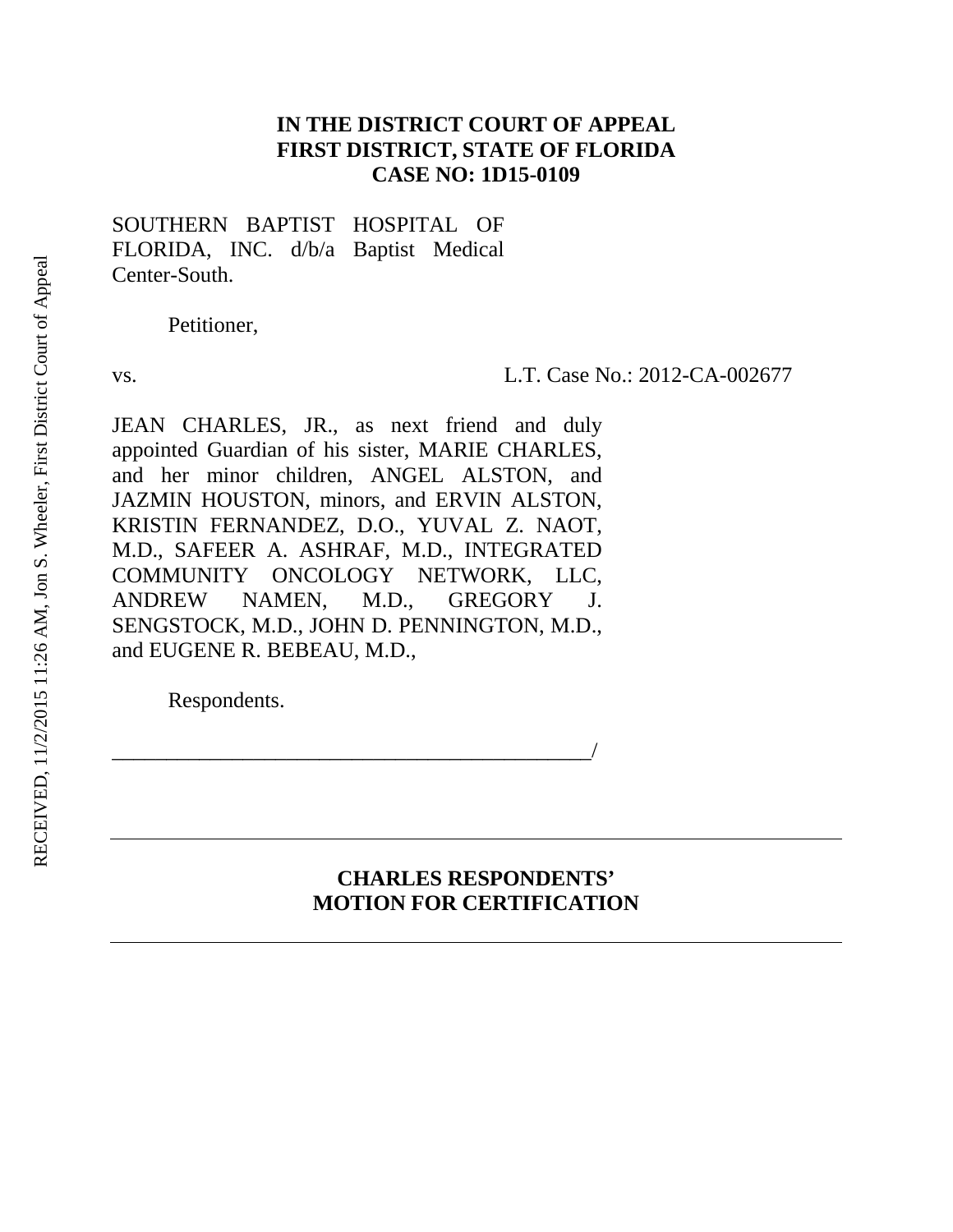# **IN THE DISTRICT COURT OF APPEAL FIRST DISTRICT, STATE OF FLORIDA CASE NO: 1D15-0109**

SOUTHERN BAPTIST HOSPITAL OF FLORIDA, INC. d/b/a Baptist Medical Center-South.

Petitioner,

vs. L.T. Case No.: 2012-CA-002677

JEAN CHARLES, JR., as next friend and duly appointed Guardian of his sister, MARIE CHARLES, and her minor children, ANGEL ALSTON, and JAZMIN HOUSTON, minors, and ERVIN ALSTON, KRISTIN FERNANDEZ, D.O., YUVAL Z. NAOT, M.D., SAFEER A. ASHRAF, M.D., INTEGRATED COMMUNITY ONCOLOGY NETWORK, LLC, ANDREW NAMEN, M.D., GREGORY J. SENGSTOCK, M.D., JOHN D. PENNINGTON, M.D., and EUGENE R. BEBEAU, M.D.,

\_\_\_\_\_\_\_\_\_\_\_\_\_\_\_\_\_\_\_\_\_\_\_\_\_\_\_\_\_\_\_\_\_\_\_\_\_\_\_\_\_\_\_\_/

Respondents.

# **CHARLES RESPONDENTS' MOTION FOR CERTIFICATION**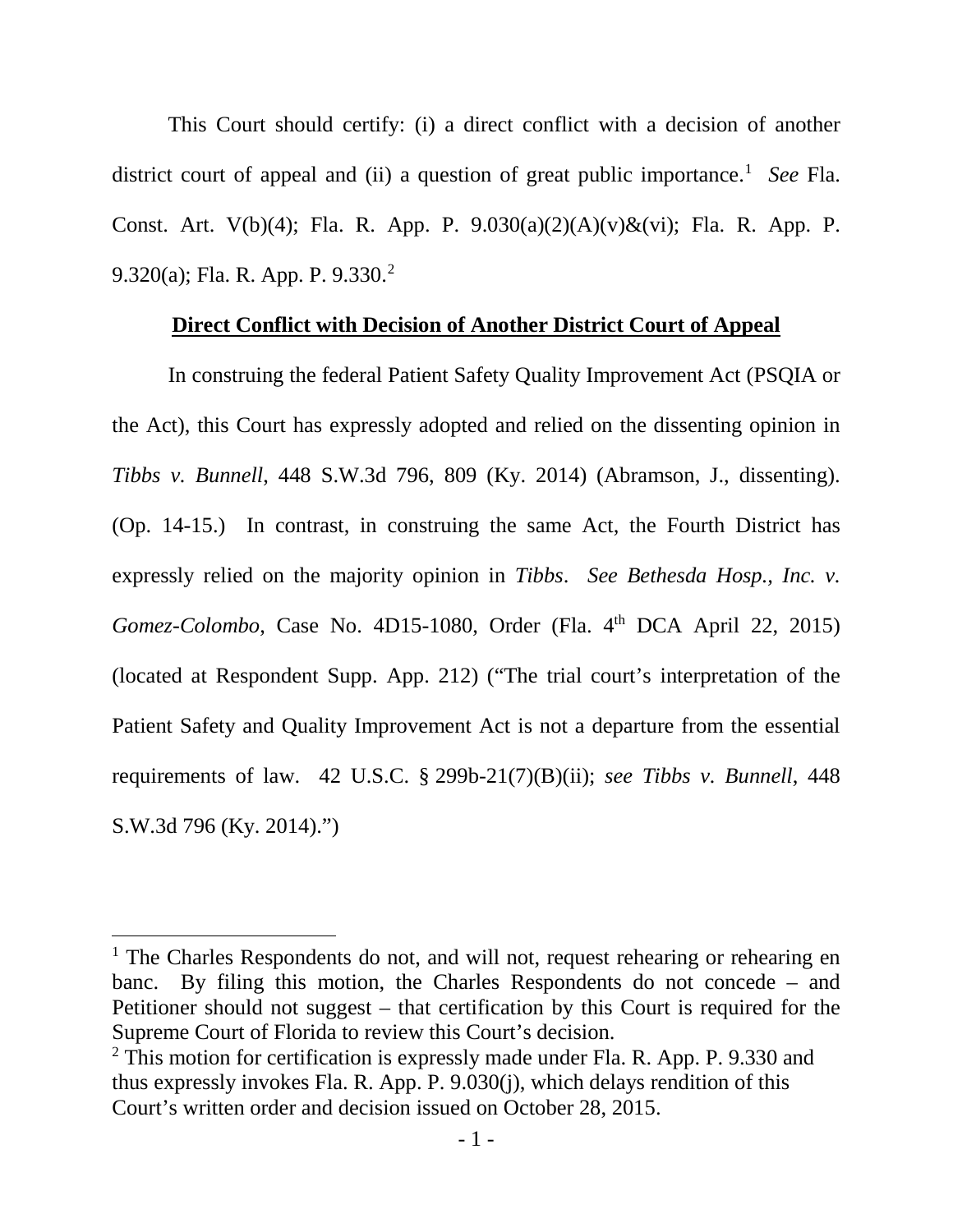This Court should certify: (i) a direct conflict with a decision of another district court of appeal and (ii) a question of great public importance.<sup>[1](#page-1-0)</sup> See Fla. Const. Art. V(b)(4); Fla. R. App. P.  $9.030(a)(2)(A)(v)\&(vi)$ ; Fla. R. App. P. 9.320(a); Fla. R. App. P. 9.330.[2](#page-1-1)

#### **Direct Conflict with Decision of Another District Court of Appeal**

In construing the federal Patient Safety Quality Improvement Act (PSQIA or the Act), this Court has expressly adopted and relied on the dissenting opinion in *Tibbs v. Bunnell*, 448 S.W.3d 796, 809 (Ky. 2014) (Abramson, J., dissenting). (Op. 14-15.) In contrast, in construing the same Act, the Fourth District has expressly relied on the majority opinion in *Tibbs*. *See Bethesda Hosp., Inc. v. Gomez-Colombo*, Case No. 4D15-1080, Order (Fla. 4<sup>th</sup> DCA April 22, 2015) (located at Respondent Supp. App. 212) ("The trial court's interpretation of the Patient Safety and Quality Improvement Act is not a departure from the essential requirements of law. 42 U.S.C. § 299b-21(7)(B)(ii); *see Tibbs v. Bunnell*, 448 S.W.3d 796 (Ky. 2014).")

 $\overline{a}$ 

<span id="page-1-0"></span><sup>&</sup>lt;sup>1</sup> The Charles Respondents do not, and will not, request rehearing or rehearing en banc. By filing this motion, the Charles Respondents do not concede – and Petitioner should not suggest – that certification by this Court is required for the Supreme Court of Florida to review this Court's decision.

<span id="page-1-1"></span><sup>&</sup>lt;sup>2</sup> This motion for certification is expressly made under Fla. R. App. P. 9.330 and thus expressly invokes Fla. R. App. P. 9.030(j), which delays rendition of this Court's written order and decision issued on October 28, 2015.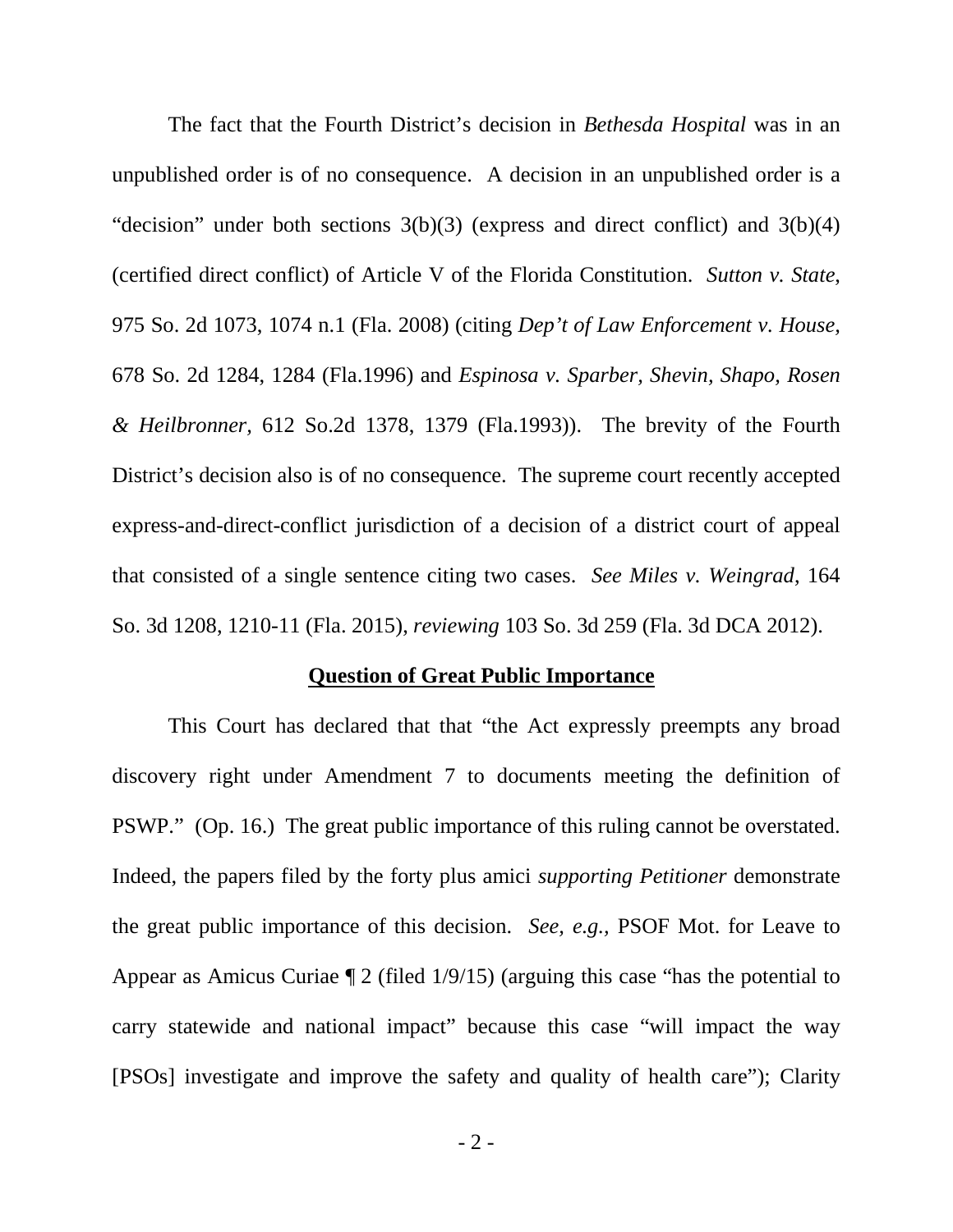The fact that the Fourth District's decision in *Bethesda Hospital* was in an unpublished order is of no consequence. A decision in an unpublished order is a "decision" under both sections  $3(b)(3)$  (express and direct conflict) and  $3(b)(4)$ (certified direct conflict) of Article V of the Florida Constitution. *Sutton v. State*, 975 So. 2d 1073, 1074 n.1 (Fla. 2008) (citing *Dep't of Law Enforcement v. House,* 678 So. 2d 1284, 1284 (Fla.1996) and *Espinosa v. Sparber, Shevin, Shapo, Rosen & Heilbronner,* 612 So.2d 1378, 1379 (Fla.1993)). The brevity of the Fourth District's decision also is of no consequence. The supreme court recently accepted express-and-direct-conflict jurisdiction of a decision of a district court of appeal that consisted of a single sentence citing two cases. *See Miles v. Weingrad*, 164 So. 3d 1208, 1210-11 (Fla. 2015), *reviewing* 103 So. 3d 259 (Fla. 3d DCA 2012).

#### **Question of Great Public Importance**

This Court has declared that that "the Act expressly preempts any broad discovery right under Amendment 7 to documents meeting the definition of PSWP." (Op. 16.) The great public importance of this ruling cannot be overstated. Indeed, the papers filed by the forty plus amici *supporting Petitioner* demonstrate the great public importance of this decision. *See, e.g.,* PSOF Mot. for Leave to Appear as Amicus Curiae  $\sqrt{2}$  (filed 1/9/15) (arguing this case "has the potential to carry statewide and national impact" because this case "will impact the way [PSOs] investigate and improve the safety and quality of health care"); Clarity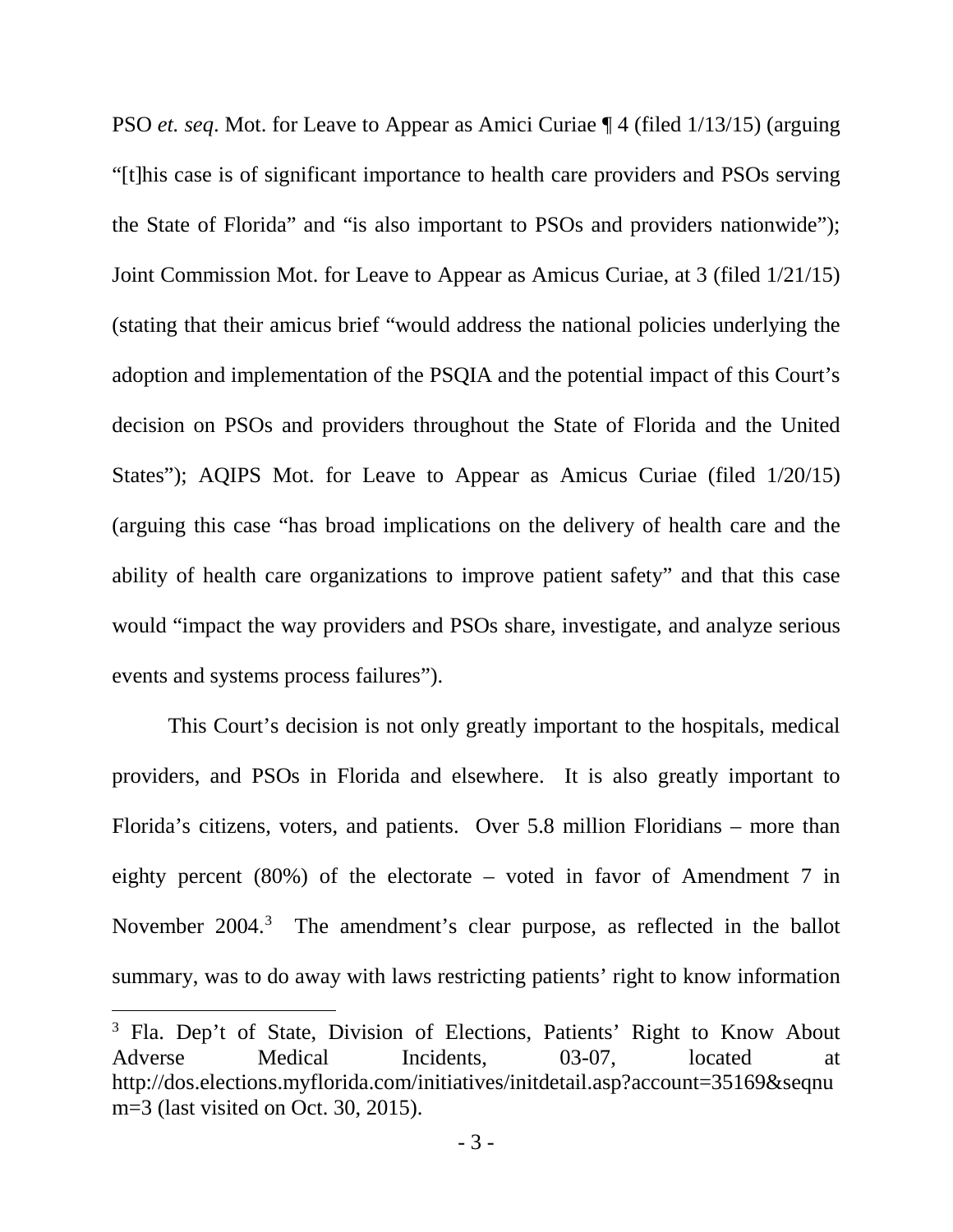PSO *et. seq*. Mot. for Leave to Appear as Amici Curiae ¶ 4 (filed 1/13/15) (arguing "[t]his case is of significant importance to health care providers and PSOs serving the State of Florida" and "is also important to PSOs and providers nationwide"); Joint Commission Mot. for Leave to Appear as Amicus Curiae, at 3 (filed 1/21/15) (stating that their amicus brief "would address the national policies underlying the adoption and implementation of the PSQIA and the potential impact of this Court's decision on PSOs and providers throughout the State of Florida and the United States"); AQIPS Mot. for Leave to Appear as Amicus Curiae (filed 1/20/15) (arguing this case "has broad implications on the delivery of health care and the ability of health care organizations to improve patient safety" and that this case would "impact the way providers and PSOs share, investigate, and analyze serious events and systems process failures").

This Court's decision is not only greatly important to the hospitals, medical providers, and PSOs in Florida and elsewhere. It is also greatly important to Florida's citizens, voters, and patients. Over 5.8 million Floridians – more than eighty percent (80%) of the electorate – voted in favor of Amendment 7 in November 2004.<sup>[3](#page-3-0)</sup> The amendment's clear purpose, as reflected in the ballot summary, was to do away with laws restricting patients' right to know information

 $\overline{a}$ 

<span id="page-3-0"></span><sup>&</sup>lt;sup>3</sup> Fla. Dep't of State, Division of Elections, Patients' Right to Know About Adverse Medical Incidents, 03-07, located at http://dos.elections.myflorida.com/initiatives/initdetail.asp?account=35169&seqnu m=3 (last visited on Oct. 30, 2015).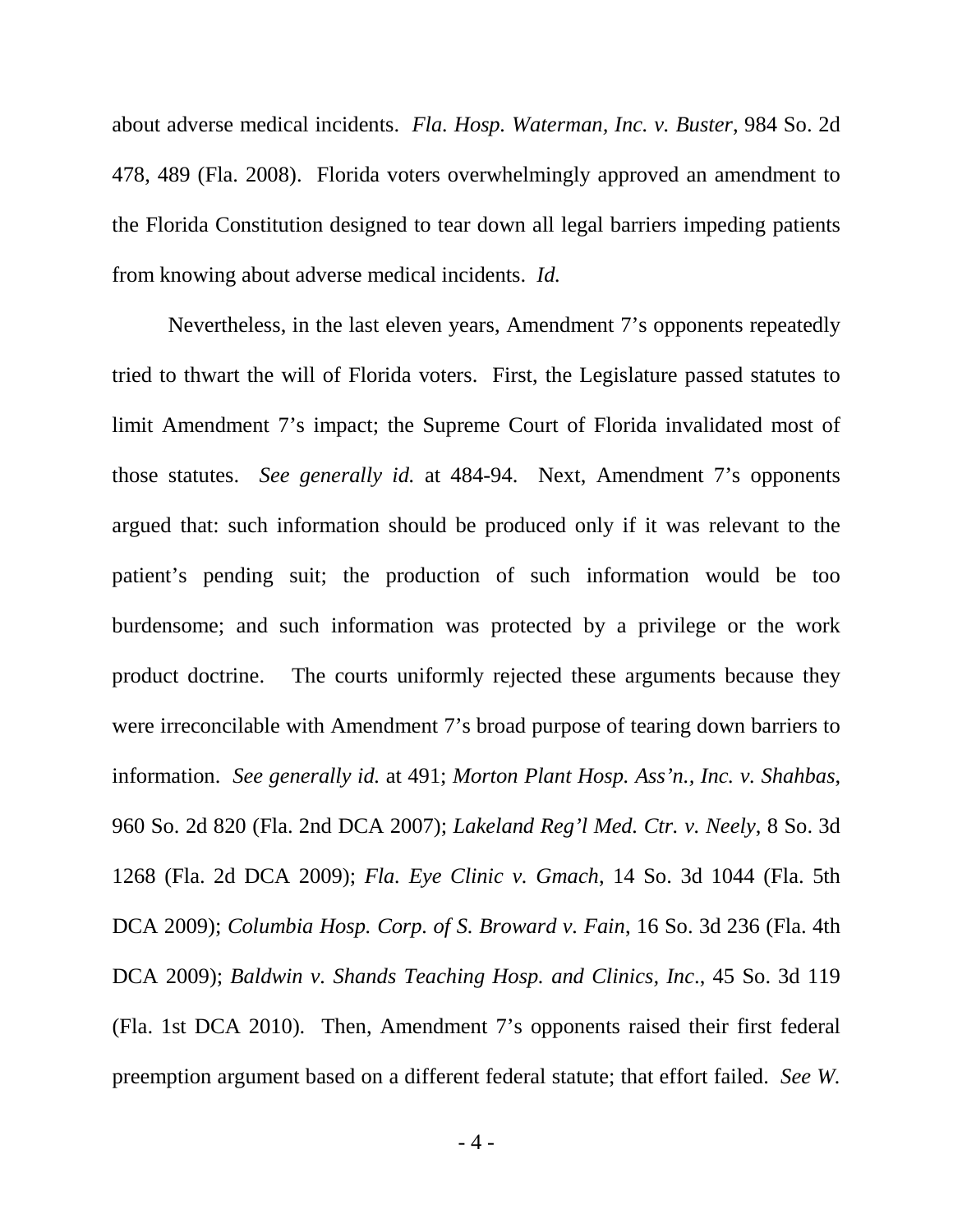about adverse medical incidents. *Fla. Hosp. Waterman, Inc. v. Buster*, 984 So. 2d 478, 489 (Fla. 2008). Florida voters overwhelmingly approved an amendment to the Florida Constitution designed to tear down all legal barriers impeding patients from knowing about adverse medical incidents. *Id.*

Nevertheless, in the last eleven years, Amendment 7's opponents repeatedly tried to thwart the will of Florida voters. First, the Legislature passed statutes to limit Amendment 7's impact; the Supreme Court of Florida invalidated most of those statutes. *See generally id.* at 484-94. Next, Amendment 7's opponents argued that: such information should be produced only if it was relevant to the patient's pending suit; the production of such information would be too burdensome; and such information was protected by a privilege or the work product doctrine. The courts uniformly rejected these arguments because they were irreconcilable with Amendment 7's broad purpose of tearing down barriers to information. *See generally id.* at 491; *Morton Plant Hosp. Ass'n., Inc. v. Shahbas*, 960 So. 2d 820 (Fla. 2nd DCA 2007); *Lakeland Reg'l Med. Ctr. v. Neely*, 8 So. 3d 1268 (Fla. 2d DCA 2009); *Fla. Eye Clinic v. Gmach*, 14 So. 3d 1044 (Fla. 5th DCA 2009); *Columbia Hosp. Corp. of S. Broward v. Fain*, 16 So. 3d 236 (Fla. 4th DCA 2009); *Baldwin v. Shands Teaching Hosp. and Clinics, Inc*., 45 So. 3d 119 (Fla. 1st DCA 2010). Then, Amendment 7's opponents raised their first federal preemption argument based on a different federal statute; that effort failed. *See W.*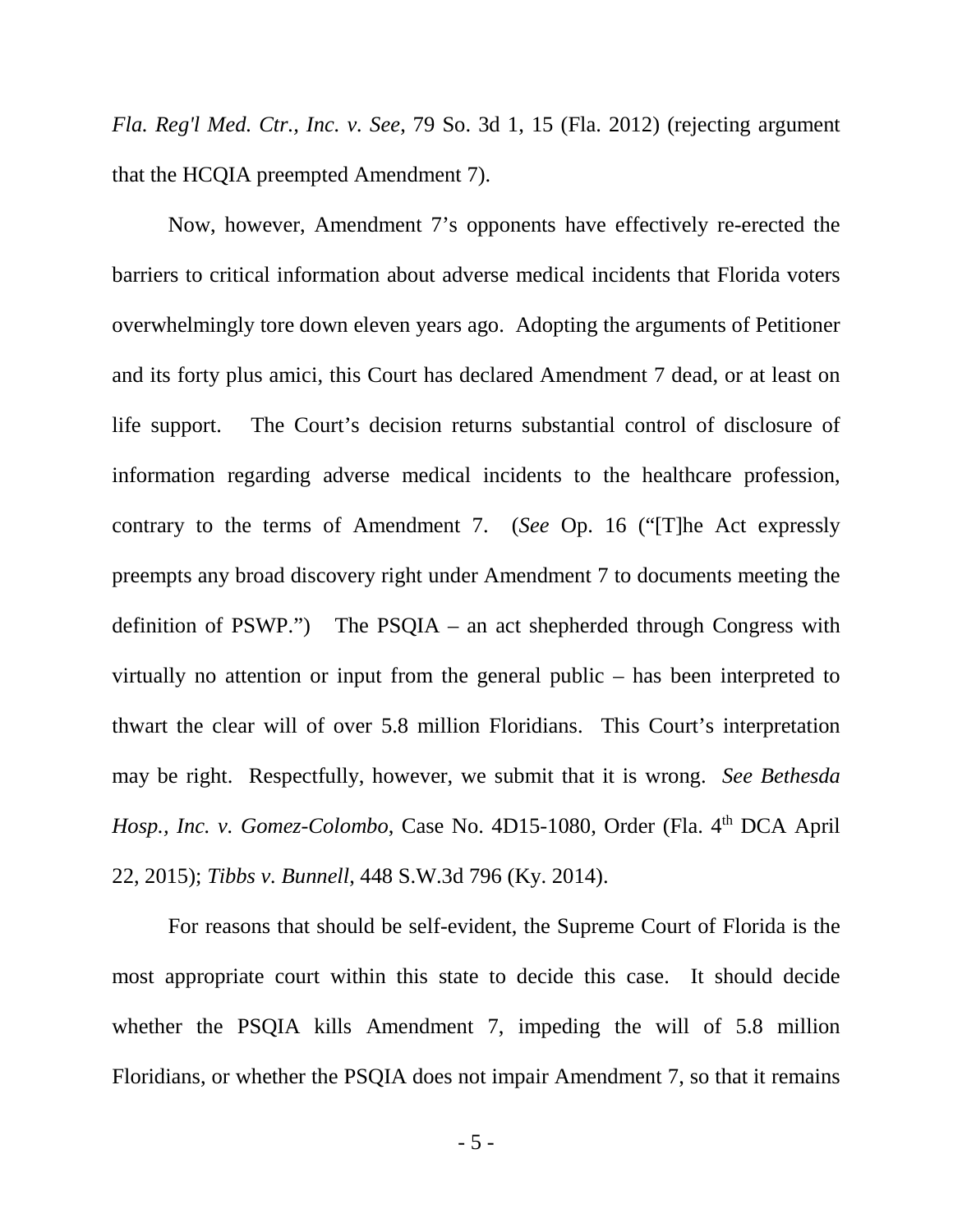*Fla. Reg'l Med. Ctr., Inc. v. See*, 79 So. 3d 1, 15 (Fla. 2012) (rejecting argument that the HCQIA preempted Amendment 7).

Now, however, Amendment 7's opponents have effectively re-erected the barriers to critical information about adverse medical incidents that Florida voters overwhelmingly tore down eleven years ago. Adopting the arguments of Petitioner and its forty plus amici, this Court has declared Amendment 7 dead, or at least on life support. The Court's decision returns substantial control of disclosure of information regarding adverse medical incidents to the healthcare profession, contrary to the terms of Amendment 7. (*See* Op. 16 ("[T]he Act expressly preempts any broad discovery right under Amendment 7 to documents meeting the definition of PSWP.") The PSQIA – an act shepherded through Congress with virtually no attention or input from the general public – has been interpreted to thwart the clear will of over 5.8 million Floridians. This Court's interpretation may be right. Respectfully, however, we submit that it is wrong. *See Bethesda Hosp., Inc. v. Gomez-Colombo, Case No. 4D15-1080, Order (Fla. 4<sup>th</sup> DCA April* 22, 2015); *Tibbs v. Bunnell*, 448 S.W.3d 796 (Ky. 2014).

For reasons that should be self-evident, the Supreme Court of Florida is the most appropriate court within this state to decide this case. It should decide whether the PSQIA kills Amendment 7, impeding the will of 5.8 million Floridians, or whether the PSQIA does not impair Amendment 7, so that it remains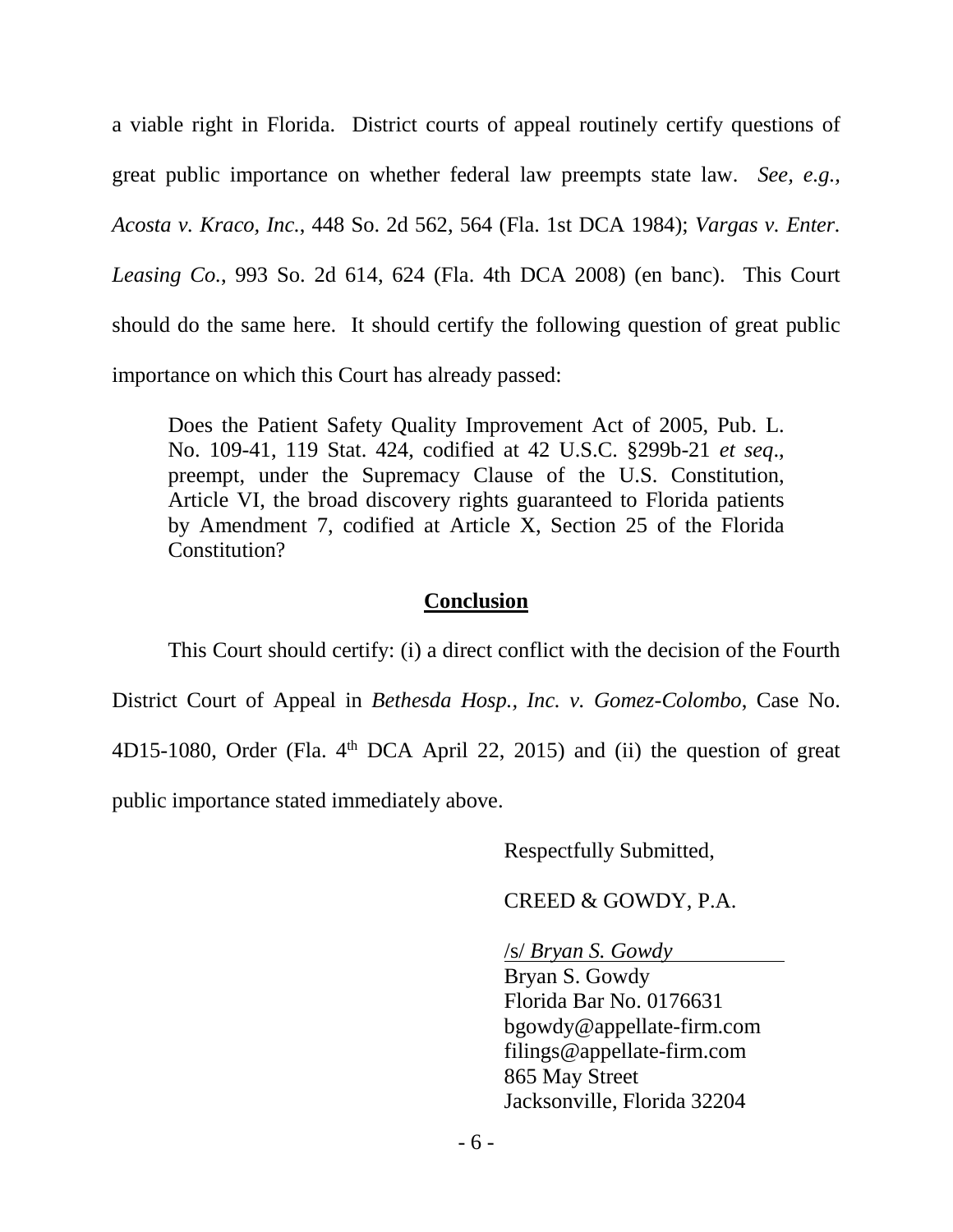a viable right in Florida. District courts of appeal routinely certify questions of great public importance on whether federal law preempts state law. *See, e.g., Acosta v. Kraco, Inc.*, 448 So. 2d 562, 564 (Fla. 1st DCA 1984); *Vargas v. Enter. Leasing Co.*, 993 So. 2d 614, 624 (Fla. 4th DCA 2008) (en banc). This Court should do the same here. It should certify the following question of great public importance on which this Court has already passed:

Does the Patient Safety Quality Improvement Act of 2005, Pub. L. No. 109-41, 119 Stat. 424, codified at 42 U.S.C. §299b-21 *et seq*., preempt, under the Supremacy Clause of the U.S. Constitution, Article VI, the broad discovery rights guaranteed to Florida patients by Amendment 7, codified at Article X, Section 25 of the Florida Constitution?

#### **Conclusion**

This Court should certify: (i) a direct conflict with the decision of the Fourth District Court of Appeal in *Bethesda Hosp., Inc. v. Gomez-Colombo*, Case No. 4D15-1080, Order (Fla.  $4<sup>th</sup>$  DCA April 22, 2015) and (ii) the question of great public importance stated immediately above.

Respectfully Submitted,

CREED & GOWDY, P.A.

/s/ *Bryan S. Gowdy*

Bryan S. Gowdy Florida Bar No. 0176631 bgowdy@appellate-firm.com filings@appellate-firm.com 865 May Street Jacksonville, Florida 32204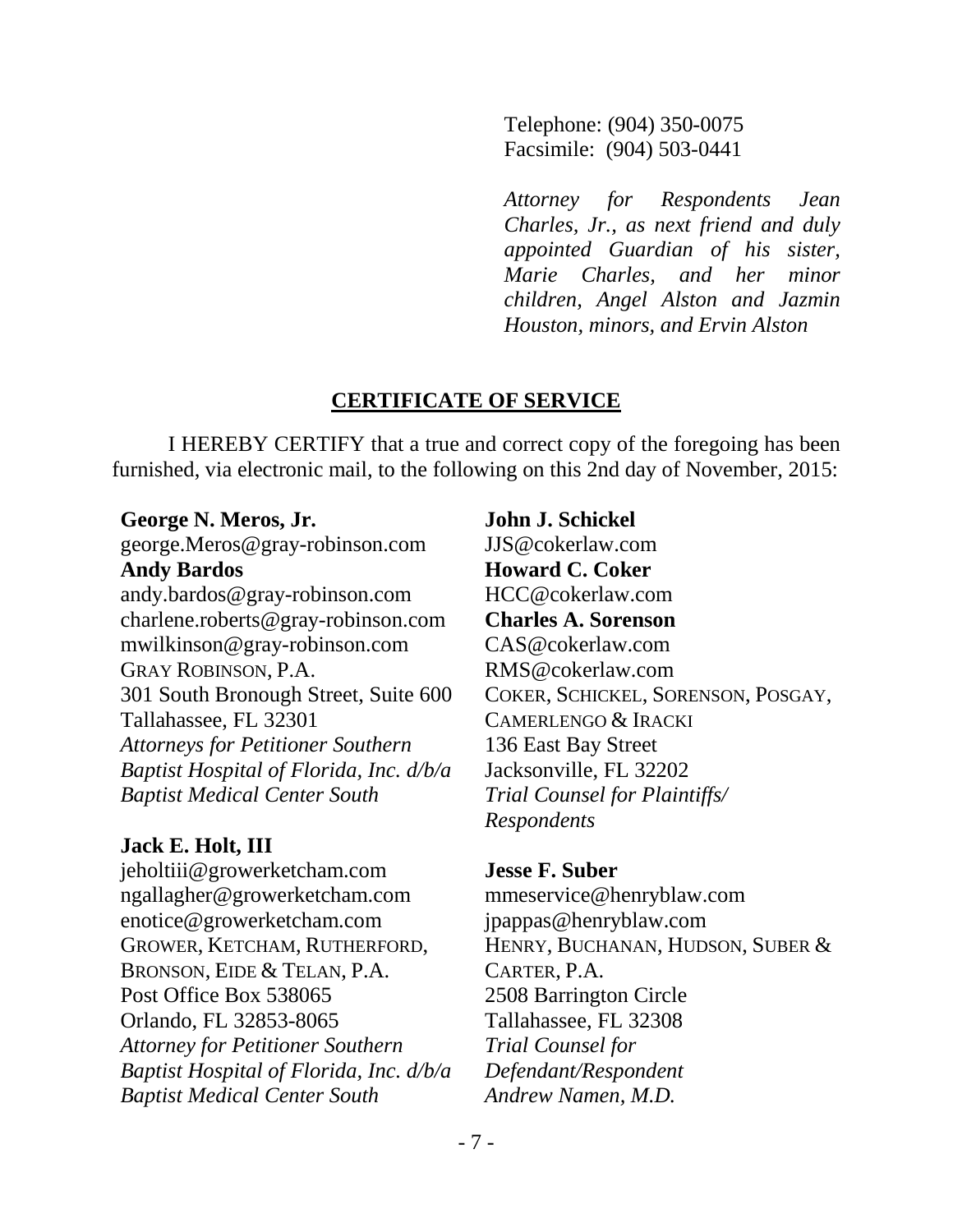Telephone: (904) 350-0075 Facsimile: (904) 503-0441

*Attorney for Respondents Jean Charles, Jr., as next friend and duly appointed Guardian of his sister, Marie Charles, and her minor children, Angel Alston and Jazmin Houston, minors, and Ervin Alston*

#### **CERTIFICATE OF SERVICE**

I HEREBY CERTIFY that a true and correct copy of the foregoing has been furnished, via electronic mail, to the following on this 2nd day of November, 2015:

#### **George N. Meros, Jr.**

george.Meros@gray-robinson.com **Andy Bardos** andy.bardos@gray-robinson.com charlene.roberts@gray-robinson.com mwilkinson@gray-robinson.com GRAY ROBINSON, P.A. 301 South Bronough Street, Suite 600 Tallahassee, FL 32301 *Attorneys for Petitioner Southern Baptist Hospital of Florida, Inc. d/b/a Baptist Medical Center South*

# **Jack E. Holt, III**

jeholtiii@growerketcham.com ngallagher@growerketcham.com enotice@growerketcham.com GROWER, KETCHAM, RUTHERFORD, BRONSON, EIDE & TELAN, P.A. Post Office Box 538065 Orlando, FL 32853-8065 *Attorney for Petitioner Southern Baptist Hospital of Florida, Inc. d/b/a Baptist Medical Center South*

**John J. Schickel** JJS@cokerlaw.com **Howard C. Coker** HCC@cokerlaw.com **Charles A. Sorenson** CAS@cokerlaw.com RMS@cokerlaw.com COKER, SCHICKEL, SORENSON, POSGAY, CAMERLENGO & IRACKI 136 East Bay Street Jacksonville, FL 32202 *Trial Counsel for Plaintiffs/ Respondents*

# **Jesse F. Suber**

mmeservice@henryblaw.com jpappas@henryblaw.com HENRY, BUCHANAN, HUDSON, SUBER & CARTER, P.A. 2508 Barrington Circle Tallahassee, FL 32308 *Trial Counsel for Defendant/Respondent Andrew Namen, M.D.*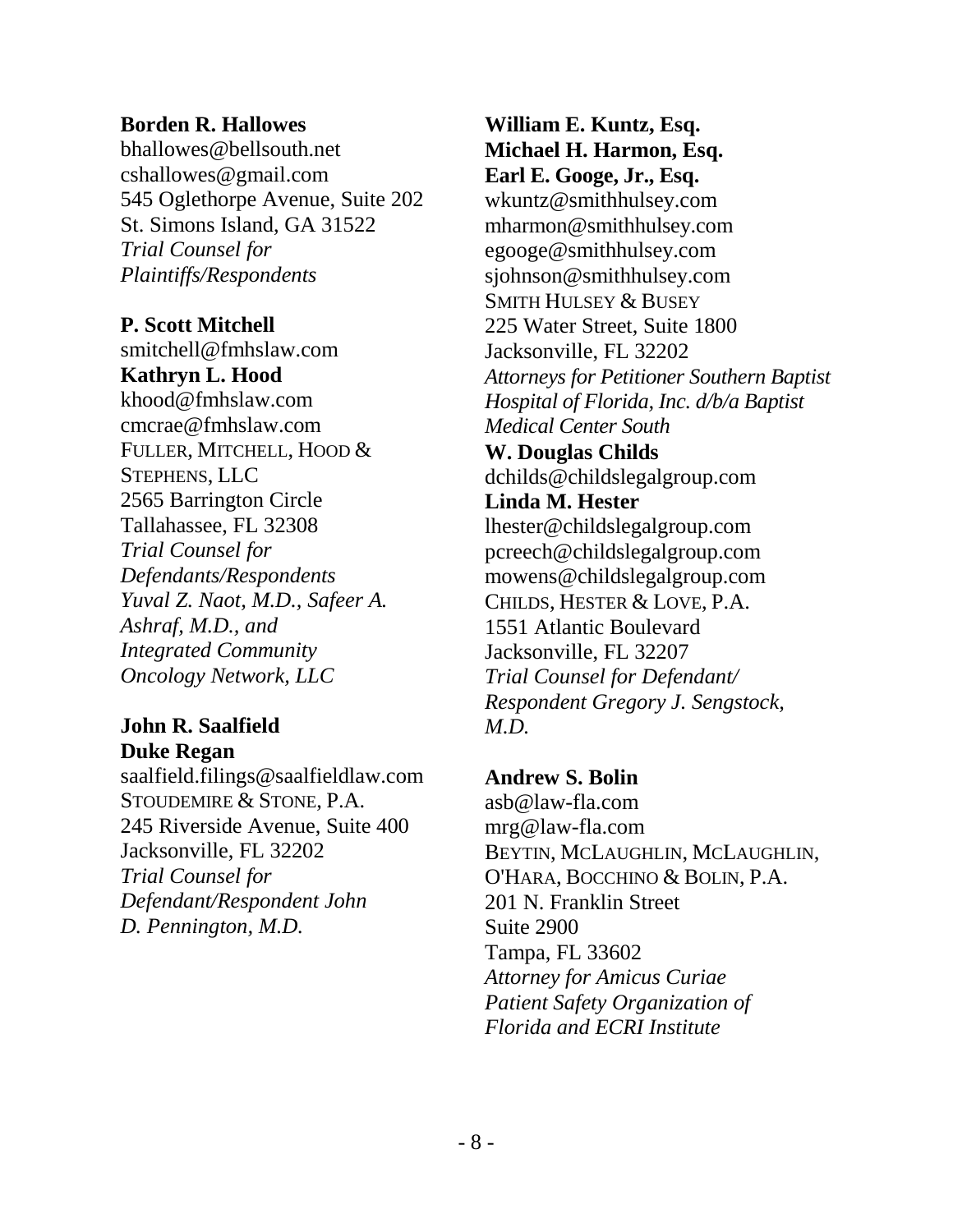#### **Borden R. Hallowes**

bhallowes@bellsouth.net cshallowes@gmail.com 545 Oglethorpe Avenue, Suite 202 St. Simons Island, GA 31522 *Trial Counsel for Plaintiffs/Respondents*

**P. Scott Mitchell**

smitchell@fmhslaw.com **Kathryn L. Hood** khood@fmhslaw.com cmcrae@fmhslaw.com FULLER, MITCHELL, HOOD & STEPHENS, LLC 2565 Barrington Circle Tallahassee, FL 32308 *Trial Counsel for Defendants/Respondents Yuval Z. Naot, M.D., Safeer A. Ashraf, M.D., and Integrated Community Oncology Network, LLC*

# **John R. Saalfield Duke Regan**

saalfield.filings@saalfieldlaw.com STOUDEMIRE & STONE, P.A. 245 Riverside Avenue, Suite 400 Jacksonville, FL 32202 *Trial Counsel for Defendant/Respondent John D. Pennington, M.D.*

**William E. Kuntz, Esq. Michael H. Harmon, Esq. Earl E. Googe, Jr., Esq.** [wkuntz@smithhulsey.com](mailto:wkuntz@smithhulsey.com) [mharmon@smithhulsey.com](mailto:mharmon@smithhulsey.com) [egooge@smithhulsey.com](mailto:egooge@smithhulsey.com) [sjohnson@smithhulsey.com](mailto:sjohnson@smithhulsey.com) SMITH HULSEY & BUSEY 225 Water Street, Suite 1800 Jacksonville, FL 32202 *Attorneys for Petitioner Southern Baptist Hospital of Florida, Inc. d/b/a Baptist Medical Center South* **W. Douglas Childs** dchilds@childslegalgroup.com **Linda M. Hester** lhester@childslegalgroup.com pcreech@childslegalgroup.com mowens@childslegalgroup.com CHILDS, HESTER & LOVE, P.A. 1551 Atlantic Boulevard Jacksonville, FL 32207 *Trial Counsel for Defendant/ Respondent Gregory J. Sengstock, M.D.*

# **Andrew S. Bolin**

asb@law-fla.com mrg@law-fla.com BEYTIN, MCLAUGHLIN, MCLAUGHLIN, O'HARA, BOCCHINO & BOLIN, P.A. 201 N. Franklin Street Suite 2900 Tampa, FL 33602 *Attorney for Amicus Curiae Patient Safety Organization of Florida and ECRI Institute*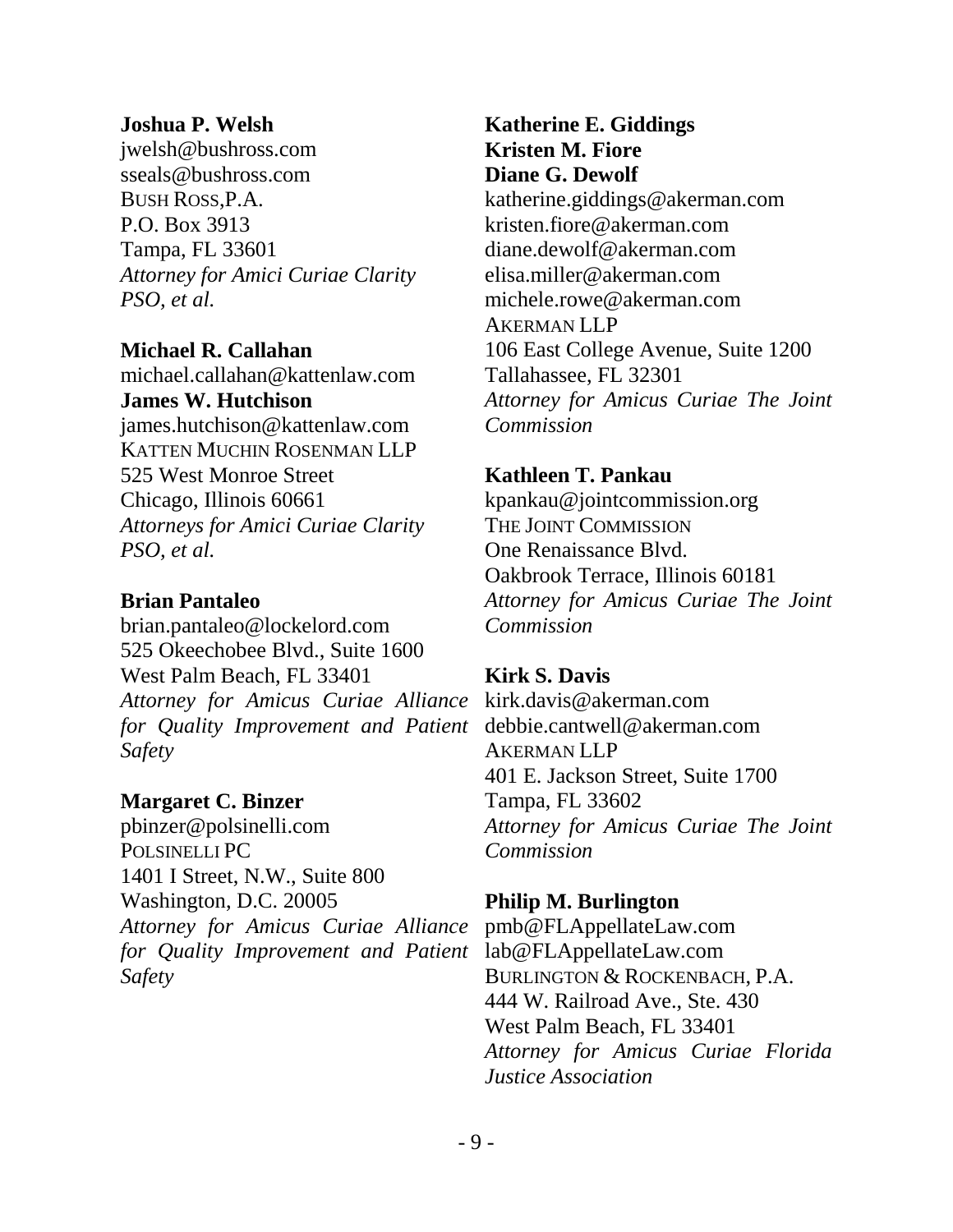#### **Joshua P. Welsh**

jwelsh@bushross.com sseals@bushross.com BUSH ROSS,P.A. P.O. Box 3913 Tampa, FL 33601 *Attorney for Amici Curiae Clarity PSO, et al.*

### **Michael R. Callahan**

michael.callahan@kattenlaw.com **James W. Hutchison** james.hutchison@kattenlaw.com KATTEN MUCHIN ROSENMAN LLP 525 West Monroe Street Chicago, Illinois 60661 *Attorneys for Amici Curiae Clarity PSO, et al.*

### **Brian Pantaleo**

brian.pantaleo@lockelord.com 525 Okeechobee Blvd., Suite 1600 West Palm Beach, FL 33401 *Attorney for Amicus Curiae Alliance*  kirk.davis@akerman.com *for Quality Improvement and Patient Safety*

# **Margaret C. Binzer**

pbinzer@polsinelli.com POLSINELLI PC 1401 I Street, N.W., Suite 800 Washington, D.C. 20005 *Attorney for Amicus Curiae Alliance for Quality Improvement and Patient Safety*

**Katherine E. Giddings Kristen M. Fiore Diane G. Dewolf** katherine.giddings@akerman.com kristen.fiore@akerman.com diane.dewolf@akerman.com elisa.miller@akerman.com michele.rowe@akerman.com AKERMAN LLP 106 East College Avenue, Suite 1200 Tallahassee, FL 32301 *Attorney for Amicus Curiae The Joint Commission*

### **Kathleen T. Pankau**

kpankau@jointcommission.org THE JOINT COMMISSION One Renaissance Blvd. Oakbrook Terrace, Illinois 60181 *Attorney for Amicus Curiae The Joint Commission*

# **Kirk S. Davis**

debbie.cantwell@akerman.com AKERMAN LLP 401 E. Jackson Street, Suite 1700 Tampa, FL 33602 *Attorney for Amicus Curiae The Joint Commission*

# **Philip M. Burlington**

pmb@FLAppellateLaw.com lab@FLAppellateLaw.com BURLINGTON & ROCKENBACH, P.A. 444 W. Railroad Ave., Ste. 430 West Palm Beach, FL 33401 *Attorney for Amicus Curiae Florida Justice Association*